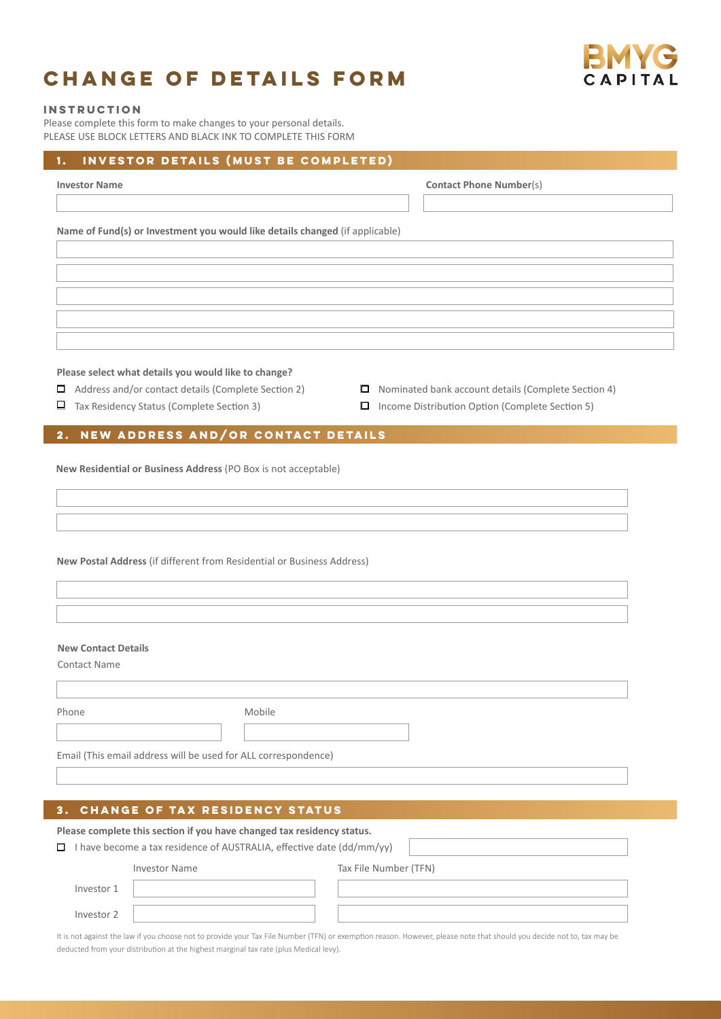## **Change of details form**



## **Instruction**

ı

Please complete this form to make changes to your personal details. PLEASE USE BLOCK LETTERS AND BLACK INK TO COMPLETE THIS FORM

| INVESTOR DETAILS (MUST BE COMPLETED)<br>1.                                                                                                             |  |
|--------------------------------------------------------------------------------------------------------------------------------------------------------|--|
| <b>Contact Phone Number(s)</b><br><b>Investor Name</b>                                                                                                 |  |
|                                                                                                                                                        |  |
| Name of Fund(s) or Investment you would like details changed (if applicable)                                                                           |  |
|                                                                                                                                                        |  |
|                                                                                                                                                        |  |
|                                                                                                                                                        |  |
|                                                                                                                                                        |  |
|                                                                                                                                                        |  |
| Please select what details you would like to change?                                                                                                   |  |
| Address and/or contact details (Complete Section 2)<br>$\Box$ Nominated bank account details (Complete Section 4)                                      |  |
| Tax Residency Status (Complete Section 3)<br>□ Income Distribution Option (Complete Section 5)<br>ப                                                    |  |
| 2. NEW ADDRESS AND/OR CONTACT DETAILS                                                                                                                  |  |
|                                                                                                                                                        |  |
| New Residential or Business Address (PO Box is not acceptable)                                                                                         |  |
|                                                                                                                                                        |  |
|                                                                                                                                                        |  |
|                                                                                                                                                        |  |
| New Postal Address (if different from Residential or Business Address)                                                                                 |  |
|                                                                                                                                                        |  |
|                                                                                                                                                        |  |
| <b>New Contact Details</b>                                                                                                                             |  |
| <b>Contact Name</b>                                                                                                                                    |  |
|                                                                                                                                                        |  |
| Mobile<br>Phone                                                                                                                                        |  |
|                                                                                                                                                        |  |
| Email (This email address will be used for ALL correspondence)                                                                                         |  |
|                                                                                                                                                        |  |
|                                                                                                                                                        |  |
| <b>CHANGE OF TAX RESIDENCY STATUS</b><br>З.                                                                                                            |  |
| Please complete this section if you have changed tax residency status.<br>$\Box$ I have become a tax residence of AUSTRALIA, effective date (dd/mm/yy) |  |

| <b>Investor Name</b> | Tax File Number (TFN) |  |
|----------------------|-----------------------|--|
|                      |                       |  |

Investor 1 Investor 2

It is not against the law if you choose not to provide your Tax File Number (TFN) or exemption reason. However, please note that should you decide not to, tax may be deducted from your distribution at the highest marginal tax rate (plus Medical levy).